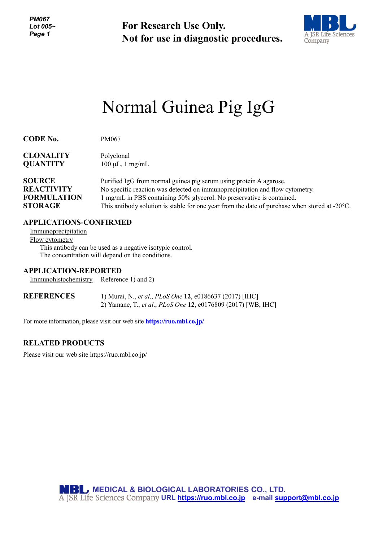**For Research Use Only. Not for use in diagnostic procedures.**



# Normal Guinea Pig IgG

| <b>CODE No.</b>    | PM067                                                                                                   |
|--------------------|---------------------------------------------------------------------------------------------------------|
| <b>CLONALITY</b>   | Polyclonal                                                                                              |
| <b>QUANTITY</b>    | $100 \mu L$ , 1 mg/mL                                                                                   |
| <b>SOURCE</b>      | Purified IgG from normal guinea pig serum using protein A agarose.                                      |
| <b>REACTIVITY</b>  | No specific reaction was detected on immunoprecipitation and flow cytometry.                            |
| <b>FORMULATION</b> | 1 mg/mL in PBS containing 50% glycerol. No preservative is contained.                                   |
| <b>STORAGE</b>     | This antibody solution is stable for one year from the date of purchase when stored at $-20^{\circ}$ C. |

# **APPLICATIONS-CONFIRMED**

Immunoprecipitation Flow cytometry This antibody can be used as a negative isotypic control. The concentration will depend on the conditions.

## **APPLICATION-REPORTED**

Immunohistochemistry Reference 1) and 2)

| <b>REFERENCES</b> | 1) Murai, N., <i>et al., PLoS One</i> 12, e0186637 (2017) [IHC] |
|-------------------|-----------------------------------------------------------------|
|                   | 2) Yamane, T., et al., PLoS One 12, e0176809 (2017) [WB, IHC]   |

For more information, please visit our web site **https://ruo.mbl.co.jp/**

## **RELATED PRODUCTS**

Please visit our web site https://ruo.mbl.co.jp/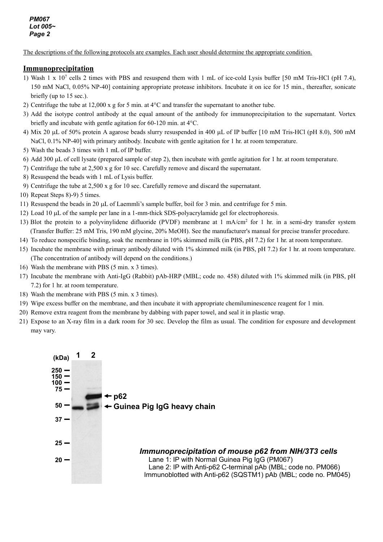The descriptions of the following protocols are examples. Each user should determine the appropriate condition.

## **Immunoprecipitation**

- 1) Wash 1 x 107 cells 2 times with PBS and resuspend them with 1 mL of ice-cold Lysis buffer [50 mM Tris-HCl (pH 7.4), 150 mM NaCl, 0.05% NP-40] containing appropriate protease inhibitors. Incubate it on ice for 15 min., thereafter, sonicate briefly (up to 15 sec.).
- 2) Centrifuge the tube at  $12,000 \times g$  for 5 min. at  $4^{\circ}$ C and transfer the supernatant to another tube.
- 3) Add the isotype control antibody at the equal amount of the antibody for immunoprecipitation to the supernatant. Vortex briefly and incubate with gentle agitation for 60-120 min. at 4°C.
- 4) Mix 20 µL of 50% protein A agarose beads slurry resuspended in 400 µL of IP buffer [10 mM Tris-HCl (pH 8.0), 500 mM NaCl, 0.1% NP-40] with primary antibody. Incubate with gentle agitation for 1 hr. at room temperature.
- 5) Wash the beads 3 times with 1 mL of IP buffer.
- 6) Add 300 µL of cell lysate (prepared sample of step 2), then incubate with gentle agitation for 1 hr. at room temperature.
- 7) Centrifuge the tube at 2,500 x g for 10 sec. Carefully remove and discard the supernatant.
- 8) Resuspend the beads with 1 mL of Lysis buffer.
- 9) Centrifuge the tube at 2,500 x g for 10 sec. Carefully remove and discard the supernatant.
- 10) Repeat Steps 8)-9) 5 times.
- 11) Resuspend the beads in 20 µL of Laemmli's sample buffer, boil for 3 min. and centrifuge for 5 min.
- 12) Load 10 µL of the sample per lane in a 1-mm-thick SDS-polyacrylamide gel for electrophoresis.
- 13) Blot the protein to a polyvinylidene difluoride (PVDF) membrane at  $1 \text{ mA/cm}^2$  for  $1 \text{ hr}$ . in a semi-dry transfer system (Transfer Buffer: 25 mM Tris, 190 mM glycine, 20% MeOH). See the manufacturer's manual for precise transfer procedure.
- 14) To reduce nonspecific binding, soak the membrane in 10% skimmed milk (in PBS, pH 7.2) for 1 hr. at room temperature.
- 15) Incubate the membrane with primary antibody diluted with 1% skimmed milk (in PBS, pH 7.2) for 1 hr. at room temperature. (The concentration of antibody will depend on the conditions.)
- 16) Wash the membrane with PBS (5 min. x 3 times).
- 17) Incubate the membrane with Anti-IgG (Rabbit) pAb-HRP (MBL; code no. 458) diluted with 1% skimmed milk (in PBS, pH 7.2) for 1 hr. at room temperature.
- 18) Wash the membrane with PBS (5 min. x 3 times).
- 19) Wipe excess buffer on the membrane, and then incubate it with appropriate chemiluminescence reagent for 1 min.
- 20) Remove extra reagent from the membrane by dabbing with paper towel, and seal it in plastic wrap.
- 21) Expose to an X-ray film in a dark room for 30 sec. Develop the film as usual. The condition for exposure and development may vary.